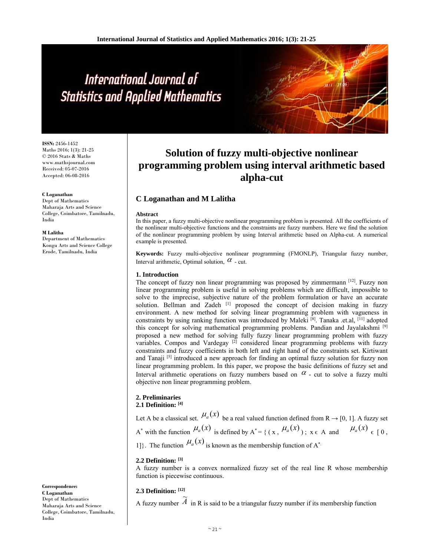# International Journal of **Statistics and Applied Mathematics**

**ISSN:** 2456-1452 Maths 2016; 1(3): 21-25 © 2016 Stats & Maths www.mathsjournal.com Received: 05-07-2016 Accepted: 06-08-2016

#### **C Loganathan**

Dept of Mathematics Maharaja Arts and Science College, Coimbatore, Tamilnadu, India

#### **M Lalitha**

Department of Mathematics Kongu Arts and Science College Erode, Tamilnadu, India

**Correspondence: C Loganathan**  Dept of Mathematics Maharaja Arts and Science College, Coimbatore, Tamilnadu, India

## **Solution of fuzzy multi-objective nonlinear programming problem using interval arithmetic based alpha-cut**

## **C Loganathan and M Lalitha**

#### **Abstract**

In this paper, a fuzzy multi-objective nonlinear programming problem is presented. All the coefficients of the nonlinear multi-objective functions and the constraints are fuzzy numbers. Here we find the solution of the nonlinear programming problem by using Interval arithmetic based on Alpha-cut. A numerical example is presented.

**Keywords:** Fuzzy multi-objective nonlinear programming (FMONLP), Triangular fuzzy number, Interval arithmetic, Optimal solution,  $\alpha$  - cut.

#### **1. Introduction**

The concept of fuzzy non linear programming was proposed by zimmermann [12]. Fuzzy non linear programming problem is useful in solving problems which are difficult, impossible to solve to the imprecise, subjective nature of the problem formulation or have an accurate solution. Bellman and Zadeh [1] proposed the concept of decision making in fuzzy environment. A new method for solving linear programming problem with vagueness in constraints by using ranking function was introduced by Maleki  $^{[8]}$ . Tanaka .et.al, <sup>[11]</sup> adopted this concept for solving mathematical programming problems. Pandian and Jayalakshmi [9] proposed a new method for solving fully fuzzy linear programming problem with fuzzy variables. Compos and Vardegay<sup>[2]</sup> considered linear programming problems with fuzzy constraints and fuzzy coefficients in both left and right hand of the constraints set. Kirtiwant and Tanaji  $[5]$  introduced a new approach for finding an optimal fuzzy solution for fuzzy non linear programming problem. In this paper, we propose the basic definitions of fuzzy set and Interval arithmetic operations on fuzzy numbers based on  $\alpha$  - cut to solve a fuzzy multi objective non linear programming problem.

## **2. Preliminaries**

**2.1 Definition: [4]**

Let A be a classical set.  $\mu_a(x)$  be a real valued function defined from R  $\rightarrow$  [0, 1]. A fuzzy set A<sup>\*</sup> with the function  $\mu_a(x)$  is defined by A<sup>\*</sup> = { (x,  $\mu_a(x)$ );  $x \in A$  and  $\mu_a(x)$   $\in$  [0, 1]. The function  $\mu_a(x)$  is known as the membership function of A<sup>\*</sup>.

#### **2.2 Definition: [3]**

A fuzzy number is a convex normalized fuzzy set of the real line R whose membership function is piecewise continuous.

#### **2.3 Definition: [12]**

 $\overline{A}$  fuzzy number  $\widetilde{A}$ in R is said to be a triangular fuzzy number if its membership function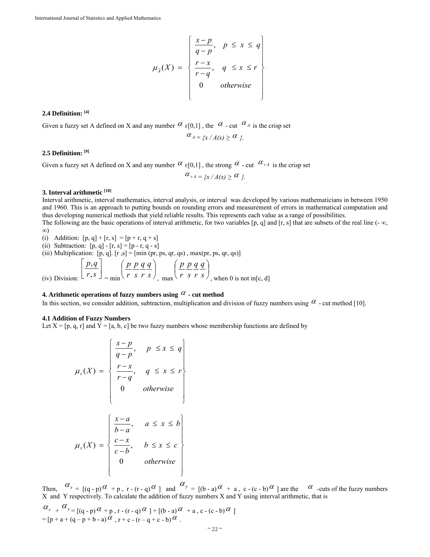$$
\mu_{\tilde{A}}(X) = \begin{cases} \frac{x-p}{q-p}, & p \leq x \leq q \\ \frac{r-x}{r-q}, & q \leq x \leq r \\ 0 & \text{otherwise} \end{cases}
$$

#### **2.4 Definition: [4]**

Given a fuzzy set A defined on X and any number  $\alpha_{\epsilon}[0,1]$ , the  $\alpha$  - cut  $\alpha_A$  is the crisp set

$$
\alpha_{A} = \{x / A(x) \geq \alpha\}.
$$

#### **2.5 Definition: [9]**

Given a fuzzy set A defined on X and any number  $\alpha$   $\epsilon$ [0,1], the strong  $\alpha$  - cut  $\alpha$ <sup>+A</sup> is the crisp set

$$
\alpha_{+A} = \{x / A(x) \ge \alpha\}.
$$

#### **3. Interval arithmetic [10]**

Interval arithmetic, interval mathematics, interval analysis, or interval was developed by various mathematicians in between 1950 and 1960. This is an approach to putting bounds on rounding errors and measurement of errors in mathematical computation and thus developing numerical methods that yield reliable results. This represents each value as a range of possibilities.

The following are the basic operations of interval arithmetic, for two variables [p, q] and [r, s] that are subsets of the real line (- $\infty$ , ∞)

- (i) Addition:  $[p, q] + [r, s] = [p + r, q + s]$
- (ii) Subtraction:  $[p, q] [r, s] = [p r, q s]$

(iii) Multiplication:  $[p, q]$ .  $[r, s] = [min(pr, ps, qr, qs), max(pr, ps, qr, qs)]$ 

(iv) Division: 
$$
\left[\frac{p,q}{r,s}\right]_{r=s}
$$
 = min  $\left(\frac{p}{r}\frac{p}{s}\frac{q}{r}\frac{q}{s}\right)_{r=s}$  max  $\left(\frac{p}{r}\frac{p}{s}\frac{q}{r}\frac{q}{s}\right)_{r=s}$ , when 0 is not in [c, d]

#### **4. Arithmetic operations of fuzzy numbers using**  $\alpha$  **- cut method**

In this section, we consider addition, subtraction, multiplication and division of fuzzy numbers using  $\alpha$  - cut method [10].

#### **4.1 Addition of Fuzzy Numbers**

Let  $X = [p, q, r]$  and  $\check{Y} = [a, b, c]$  be two fuzzy numbers whose membership functions are defined by

$$
\mu_x(X) = \begin{cases} \frac{x-p}{q-p}, & p \leq x \leq q \\ \frac{r-x}{r-q}, & q \leq x \leq r \\ 0 & \text{otherwise} \end{cases}
$$

$$
\mu_x(X) = \begin{cases}\n\frac{x-a}{b-a}, & a \leq x \leq b \\
\frac{c-x}{c-b}, & b \leq x \leq c \\
0 & otherwise\n\end{cases}
$$

Then,  $\alpha_x = \begin{bmatrix} (q-p)\alpha + p, r-(r-q)\alpha \end{bmatrix}$  and  $\alpha_y = \begin{bmatrix} (b-a)\alpha + a, c-(c-b)\alpha \end{bmatrix}$  are the  $\alpha$  -cuts of the fuzzy numbers X and Y respectively. To calculate the addition of fuzzy numbers X and Y using interval arithmetic, that is  $\alpha_{x}$  +  $\alpha_{y}$  =  $[(q-p)\alpha+p, r-(r-q)\alpha]+[(b-a)\alpha+a, c-(c-b)\alpha]$  $=[p + a + (q - p + b - a)\alpha, r + c - (r - q + c - b)\alpha].$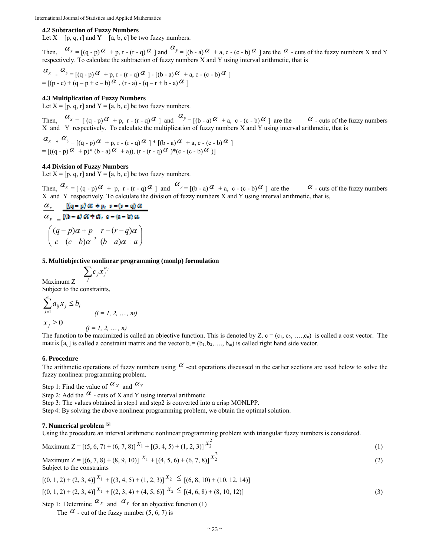#### **4.2 Subtraction of Fuzzy Numbers**

Let  $X = [p, q, r]$  and  $Y = [a, b, c]$  be two fuzzy numbers.

Then,  $\alpha_x = [(q - p)\alpha + p, r - (r - q)\alpha]$  and  $\alpha_y = [(b - a)\alpha + a, c - (c - b)\alpha]$  are the  $\alpha$  - cuts of the fuzzy numbers X and Y respectively. To calculate the subtraction of fuzzy numbers  $\hat{X}$  and  $\hat{Y}$  using interval arithmetic, that is

$$
\alpha_x \cdot \alpha_y = \left[ (q - p) \alpha + p, r - (r - q) \alpha \right] - \left[ (b - a) \alpha + a, c - (c - b) \alpha \right]
$$
  
= 
$$
\left[ (p - c) + (q - p + c - b) \alpha, (r - a) - (q - r + b - a) \alpha \right]
$$

#### **4.3 Multiplication of Fuzzy Numbers**

Let  $X = [p, q, r]$  and  $Y = [a, b, c]$  be two fuzzy numbers.

Then,  $\alpha_x = (q - p)\alpha + p$ ,  $r - (r - q)\alpha$  and  $\alpha_y = (p - a)\alpha + a$ ,  $c - (c - b)\alpha$  are the  $\alpha$  - cuts of the fuzzy numbers X and Y respectively. To calculate the multiplication of fuzzy numbers X and Y using interval arithmetic, that is

$$
\alpha_{x} * \alpha_{y} = [(q - p)\alpha + p, r - (r - q)\alpha] * [(b - a)\alpha + a, c - (c - b)\alpha]
$$
  
= 
$$
[((q - p)\alpha + p) * (b - a)\alpha + a), (r - (r - q)\alpha) * (c - (c - b)\alpha)]
$$

#### **4.4 Division of Fuzzy Numbers**

Let  $X = [p, q, r]$  and  $Y = [a, b, c]$  be two fuzzy numbers.

Then,  $\alpha_x = (q - p)\alpha + p$ ,  $r - (r - q)\alpha$  and  $\alpha_y = (p - a)\alpha + q$ ,  $c - (c - b)\alpha$  are the  $\alpha$  - cuts of the fuzzy numbers X and Y respectively. To calculate the division of fuzzy numbers X and Y using interval arithmetic, that is,

$$
\frac{\alpha_x}{\alpha_y} = \frac{[(q-p)\alpha + p, r - (r-q)\alpha]}{[(h-q)\alpha + \alpha, r - (q-p)\alpha]}
$$

$$
= \left(\frac{(q-p)\alpha + p}{c - (c-p)\alpha}, \frac{r - (r-q)\alpha}{(b-a)\alpha + a}\right)
$$

#### **5. Multiobjective nonlinear programming (monlp) formulation**

Maximum  $Z =$  $\sum c_j x_j^{\alpha_j}$ *j* Subject to the constraints,

$$
\sum_{j=1}^{n} a_{ij} x_j \le b_i
$$
\n
$$
(i = 1, 2, \dots, m)
$$
\n
$$
x_j \ge 0
$$
\n
$$
(j = 1, 2, \dots, n)
$$

The function to be maximized is called an objective function. This is denoted by Z. c =  $(c_1, c_2, \ldots, c_n)$  is called a cost vector. The matrix  $[a_{ij}]$  is called a constraint matrix and the vector  $b_i = (b_1, b_2, \ldots, b_m)$  is called right hand side vector.

#### **6. Procedure**

The arithmetic operations of fuzzy numbers using  $\alpha$  -cut operations discussed in the earlier sections are used below to solve the fuzzy nonlinear programming problem.

Step 1: Find the value of  $\alpha_X$  and  $\alpha_Y$ 

Step 2: Add the  $\alpha$  - cuts of X and Y using interval arithmetic

Step 3: The values obtained in step1 and step2 is converted into a crisp MONLPP.

Step 4: By solving the above nonlinear programming problem, we obtain the optimal solution.

#### **7. Numerical problem [5]**

Using the procedure an interval arithmetic nonlinear programming problem with triangular fuzzy numbers is considered.

Maximum 
$$
Z = [(5, 6, 7) + (6, 7, 8)]^{X_1} + [(3, 4, 5) + (1, 2, 3)]^{X_2^2}
$$
 (1)

Maximum 
$$
Z = [(6, 7, 8) + (8, 9, 10)]
$$
  $x_1 + [(4, 5, 6) + (6, 7, 8)]$   $x_2^2$  (2)  
Subject to the constraints

$$
[(0, 1, 2) + (2, 3, 4)]^{X_1} + [(3, 4, 5) + (1, 2, 3)]^{X_2} \leq [(6, 8, 10) + (10, 12, 14)]
$$
  

$$
[(0, 1, 2) + (2, 3, 4)]^{X_1} + [(2, 3, 4) + (4, 5, 6)]^{X_2} \leq [(4, 6, 8) + (8, 10, 12)]
$$
 (3)

Step 1: Determine  $\alpha_X$  and  $\alpha_Y$  for an objective function (1)

The  $\alpha$  - cut of the fuzzy number (5, 6, 7) is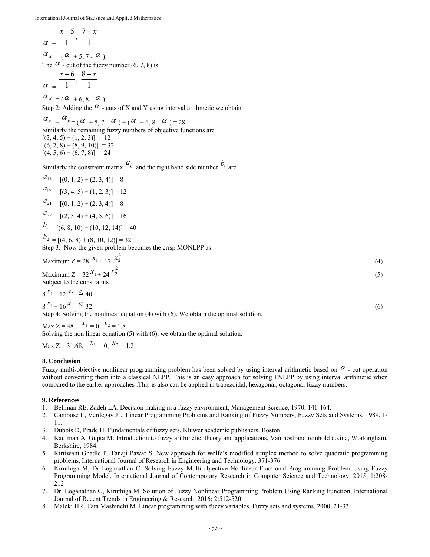$$
\alpha = \frac{x-5}{1}, \frac{7-x}{1}
$$

 $\alpha_{X} = (\alpha + 5, 7 - \alpha)$ The  $\alpha$  - cut of the fuzzy number (6, 7, 8) is  $\frac{x-6}{1}, \frac{8-x}{1}$ 

$$
\alpha = 1 \quad \text{if} \quad 1
$$

 $\alpha_{X} = (\alpha + 6, 8 - \alpha)$ 

Step 2: Adding the  $\alpha$  - cuts of X and Y using interval arithmetic we obtain

 $\alpha_{x}$  +  $\alpha_{y}$  = ( $\alpha$  + 5, 7 -  $\alpha$ ) + ( $\alpha$  + 6, 8 -  $\alpha$ ) = 28 Similarly the remaining fuzzy numbers of objective functions are  $[(3, 4, 5) + (1, 2, 3)] = 12$  $[(6, 7, 8) + (8, 9, 10)] = 32$  $[(4, 5, 6) + (6, 7, 8)] = 24$ 

Similarly the constraint matrix  $a_{ij}$  and the right hand side number  $b_i$  are  $a_{11} = (0, 1, 2) + (2, 3, 4) = 8$ 

$$
a_1 = [(0, 1, 2) + (2, 3, 4)] = 8
$$
  
\n
$$
a_{12} = [(3, 4, 5) + (1, 2, 3)] = 12
$$
  
\n
$$
a_{21} = [(0, 1, 2) + (2, 3, 4)] = 8
$$
  
\n
$$
a_{22} = [(2, 3, 4) + (4, 5, 6)] = 16
$$
  
\n
$$
b_1 = [(6, 8, 10) + (10, 12, 14)] = 40
$$
  
\n
$$
b_2 = [(4, 6, 8) + (8, 10, 12)] = 32
$$
  
\nStep 3: Now the given problem becomes the crisp MONLPP as

Maximum 
$$
Z = 28 \frac{x_1 + 12}{x_2^2}
$$
 (4)

Maximum Z =  $32 x_1 + 24 x_2^2$  $x_2^2$  (5) Subject to the constraints

$$
8 x_{1+12} x_2 \le 40
$$

 $8^{x_1} + 16^{x_2} \leq 32$  (6)

Step 4: Solving the nonlinear equation (4) with (6). We obtain the optimal solution.

Max  $Z = 48$ ,  $x_1 = 0$ ,  $x_2 = 1.8$ 

Solving the non linear equation (5) with (6), we obtain the optimal solution.

Max  $Z = 31.68$ ,  $x_1 = 0$ ,  $x_2 = 1.2$ 

#### **8. Conclusion**

Fuzzy multi-objective nonlinear programming problem has been solved by using interval arithmetic based on  $\alpha$  - cut operation without converting them into a classical NLPP. This is an easy approach for solving FNLPP by using interval arithmetic when compared to the earlier approaches .This is also can be applied in trapezoidal, hexagonal, octagonal fuzzy numbers.

#### **9. References**

- 1. Bellman RE, Zadeh LA. Decision making in a fuzzy environment, Management Science, 1970; 141-164.
- 2. Campose L, Verdegay JL. Linear Programming Problems and Ranking of Fuzzy Numbers, Fuzzy Sets and Systems, 1989, 1- 11.
- 3. Dubois D, Prade H. Fundamentals of fuzzy sets, Kluwer academic publishers, Boston.
- 4. Kaufman A, Gupta M. Introduction to fuzzy arithmetic, theory and applications, Van nostrand reinhold co.inc, Workingham, Berkshire, 1984.
- 5. Kirtiwant Ghadle P, Tanaji Pawar S. New approach for wolfe's modified simplex method to solve quadratic programming problems, International Journal of Research in Engineering and Technology. 371-376.
- 6. Kiruthiga M, Dr Loganathan C. Solving Fuzzy Multi-objective Nonlinear Fractional Programming Problem Using Fuzzy Programming Model, International Journal of Contemporary Research in Computer Science and Technology. 2015; 1:208- 212
- 7. Dr. Loganathan C, Kiruthiga M. Solution of Fuzzy Nonlinear Programming Problem Using Ranking Function, International Journal of Recent Trends in Engineering & Research. 2016; 2:512-520.
- 8. Maleki HR, Tata Mashinchi M. Linear programming with fuzzy variables, Fuzzy sets and systems, 2000, 21-33.